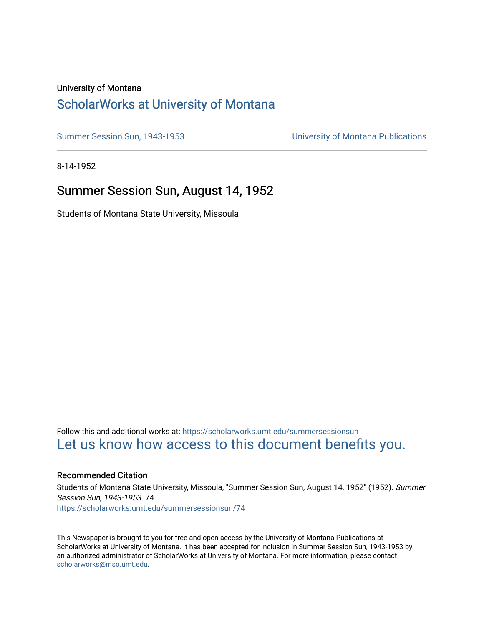#### University of Montana

# [ScholarWorks at University of Montana](https://scholarworks.umt.edu/)

[Summer Session Sun, 1943-1953](https://scholarworks.umt.edu/summersessionsun) [University of Montana Publications](https://scholarworks.umt.edu/umpubs) 

8-14-1952

## Summer Session Sun, August 14, 1952

Students of Montana State University, Missoula

Follow this and additional works at: [https://scholarworks.umt.edu/summersessionsun](https://scholarworks.umt.edu/summersessionsun?utm_source=scholarworks.umt.edu%2Fsummersessionsun%2F74&utm_medium=PDF&utm_campaign=PDFCoverPages)  [Let us know how access to this document benefits you.](https://goo.gl/forms/s2rGfXOLzz71qgsB2) 

#### Recommended Citation

Students of Montana State University, Missoula, "Summer Session Sun, August 14, 1952" (1952). Summer Session Sun, 1943-1953. 74. [https://scholarworks.umt.edu/summersessionsun/74](https://scholarworks.umt.edu/summersessionsun/74?utm_source=scholarworks.umt.edu%2Fsummersessionsun%2F74&utm_medium=PDF&utm_campaign=PDFCoverPages)

This Newspaper is brought to you for free and open access by the University of Montana Publications at ScholarWorks at University of Montana. It has been accepted for inclusion in Summer Session Sun, 1943-1953 by an authorized administrator of ScholarWorks at University of Montana. For more information, please contact [scholarworks@mso.umt.edu.](mailto:scholarworks@mso.umt.edu)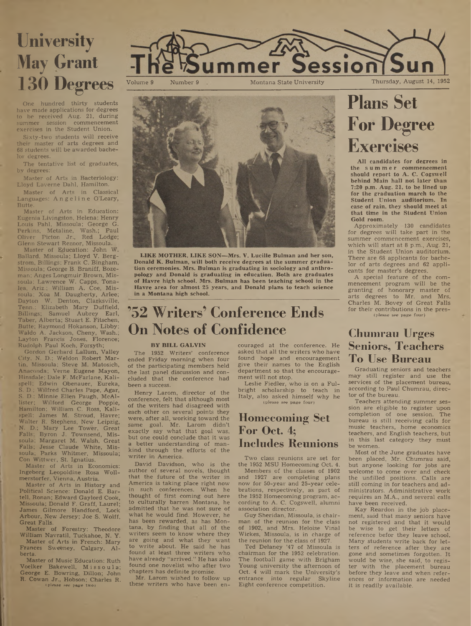# **University May Grant 130 Degrees**

One hundred thirty students have made applications for degrees to be received Aug. 21, during summer session commencement exercises in the Student Union.

Sixty-two students will receive their master of arts degrees and 68 students will be awarded bachelor degrees.

The tentative list of graduates, by degrees:

Master of Arts in Bacteriology: Lloyd Laverne Dahl, Hamilton.

Master of Arts in Classical Languages: Angeline O'Leary, Butte.

Master of Arts in Education: Eugenia Livingston, Helena; Henry Louis Pahl, Missoula; George G. Perkins, Metaline, Wash.; Paul Oliver Picton Jr., Red Lodge; Glenn Stewart Reznor, Missoula.

Master of Education: John W. Ballard, Missoula; Lloyd V. Bergstrom, Billings; Frank C. Bingham, Missoula; George B. Braniff, Bozeman; Anges Longmuir Brown, Missoula; Lawrence W. Capps, Tona-<br>lea, Ariz.; William A. Coe, Mislea, Ariz.; William A. Coe, Missoula; Xoa M. Daugherty, Arlee; Dayton W. Denton, Clarksville, Tenn.; Elizabeth Mary Duffield, Billings; Samuel Aubrey Earl, Taber, Alberta; Stuart E. Fitschen, Butte; Raymond Hokanson, Libby; Waldo A. Jackson, Cheny, Wash.; Layton Francis Jones, Florence; Rudolph Paul Koch, Forsyth;

Gordon Gerhard Lallum, Valley City, N. D.; Weldon Robert Martin, Missoula; Steve M. Matosich, Anaconda; Verne Eugene Mayon, Hinsdale; Dale F. McFarlane, Kalispell; Edwin Obenauer, Eureka, S. D.; Wilfred Charles Pape, Agar, S. D.; Minnie Ellen Paugh, McAl-Wilford George Poppie, Hamilton; William C. Ross, Kalispell; James M. Stroud, Havre; Walter R. Stephens, New Leipzig, N. D.; Mary Lee Tower, Great Falls; Byron J. Townsend, Missoula; Margaret M. Walsh, Great Falls; Jesse Claude White, Missoula; Parks Whitmer, Missoula;

Con Wittwer, St. Ignatius. Master of Arts in Economics: Ingeborg Leopoldine Rosa Wollmerstorfer, Vienna, Austria.

Master of Arts in History and Political Science: Donald E. Bartell, Ronan; Edward Gaylord Cook, Missoula; Donald F. Graff, Laurel; James Gilmore Handford, Lock Arbour, New Jersey; Joe S. Wolff, Great Falls.

Master of Forestry: Theodore William Navratil, Tuckahoe, N. Y.

Master of Arts in French: Mary Frances Sweeney, Calgary, Alberta.

Master of Music Education: Ruth Voelker Bakewell, Missoula; George E. Bowring, Dillon; John R. Cowan Jr., Hobson; Charles R. (please see page two)





**LIKE MOTHER, LIKE SON—Mrs. V. Lucille Bulman and her son, Donald K. Bulman, will both receive degrees at the summer graduation ceremonies. Mrs. Bulman is graduating in sociology and anthropology and Donald is graduating in education. Both are graduates of Havre high school. Mrs. Bulman has been teaching school in the Havre area for almost 25 years, and Donald plans to teach science in a Montana high school.**

# **'52 Writers' Conference Ends On Notes of Confidence**

#### **BY BILL GALVIN**

The 1952 Writers' conference ended Friday morning when four of the participating members held the last panel discussion and concluded that the conference had been a success.

Henry Larom, director of the conference, felt that although most of the writers had disagreed with each other on several points they were, after all, working toward the same goal. Mr. Larom didn't exactly say what that goal was, but one could conclude that it was a better understanding of mankind through the efforts of the writer in America.

David Davidson, who is the author of several novels, thought that the future of the writer in America is taking place right now in such conferences. When he thought of first coming out here to culturally barren Montana, he admitted that he was not sure of what he would find. However, he has been rewarded, as has Montana, by finding that all of the writers seem to know where they are going and What they want to write about. He said he has found at least three writers who have already "arrived." He has also found one novelist who after two chapters has definite promise.

Mr. Larom wished to follow up these writers who have been encouraged at the conference. He asked that all the writers who have found hope and encouragement give their names to the English department so that the encouragement will not stop.

Leslie Fiedler, who is on a Fulbright scholarship to teach in Italy, also asked himself why he (please see page four)

# **Homecoming Set For Oct. 4; Includes Reunions**

Two class reunions are set for the 1952 MSU Homecoming Oct. 4.

Members of the classes of 1902 and 1927 are completing plans now for 50-year and 25-year celebrations, respectively, as part of the 1952 Homecoming program, according to A. C. Cogswell, alumni association director.

Guy Sheridan, Missoula, is chairman of the reunion for the class of 1902, and Mrs. Heloise Vinal Wickes, Missoula, is in charge of the reunion for the class of 1927.

Ted Delaney '47 of Missoula is chairman for the 1952 celebration. The football game with Brigham Young university the afternoon of Oct. 4 will mark the University's entrance into regular Skyline Eight conference competition.

# **Plans Set Foi<sup>4</sup> Degree Exercises**

**AU candidates for degrees in the summer commencement should report to A. C. Cogswell behind Main hall not later than 7:20 p.m. Aug. 21, to be lined up for the graduation march to the Student Union auditorium. In case of rain, they should meet at that time in the Student Union Gold room.**

Approximately 130 candidates for degrees will take part in the summer commencement exercises, which will start at 8 p.m., Aug. 21, in the Student Union auditorium. There are 68 applicants for bachelor of arts degrees and 62 applicants for master's degrees.

A special feature of the commencement program will be the granting of honorary master of arts degrees to Mr. and Mrs. Charles M. Bovey of Great Falls for their contributions in the pres- (please see page four)

## **Chumrau Urges Seniors, Teachers To Use Bureau**

Graduating seniors and teachers may still register and use the services of the placement bureau, according to Paul Chumrau, director of the bureau.

Teachers attending summer session are eligible to register upon completion of one session. The bureau is still receiving calls for music teachers, home economics teachers, and English teachers, but in this last category they must be women.

Most of the June graduates have been placed, Mr. Chumrau said, but anyone looking for jobs are welcome to come over and check the unfilled positions. Calls are still coming in for teachers and administrators. Administrative work requires an M.A., and several calls have been received.

Kay Reardon in the job placement, said that many seniors have not registered and that it would be wise to get their letters of reference befor they leave school. Many students write back for letters of reference after they are gone and sometimes forgotten. It would be wise, she said, to regis-ter with the placement bureau before they leave and when references or information are needed it is readily available.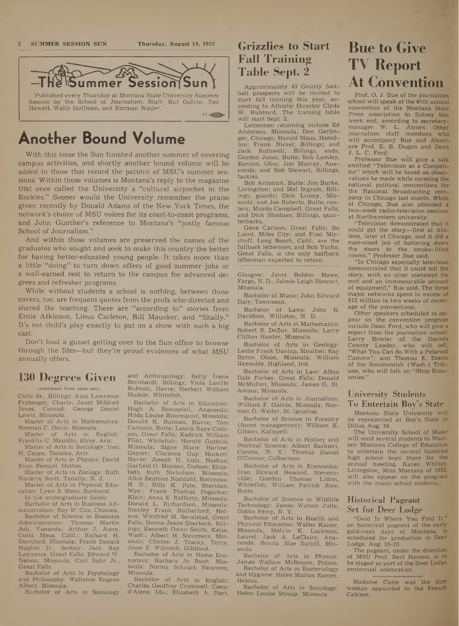#### **2 SUMMER SESSION SUN Thursday, August 14, 1952**



# **Another Bound Volume**

With this issue the Sun finished another summer of covering campus activities, and shortly another bound volume will be added to those that record the pattern of MSU's summer sessions. Within those volumes is Montana's reply to the magazine th'at once called the University a "cultural airpocket in the Rockies." Sooner would the University remember the praise given recently by Donald Adams of the New York Times, the network's choice of MSU voices for its coast-to-coast programs, and John Gunther's reference to Montana's "justly famous School of Journalism."

And within those volumes are preserved the names of the graduates who sought and seek to make this country the better for having better-educated young people. It takes more than a little "doing" to'turn down offers of good summer jobs or a well-earned rest to return to the campus for advanced degrees and refresher programs.

While without students a school is nothing, between those covers, too, are frequent quotes from the profs who directed and shared the teaching. There are "according- to" stories from Ernie Atkinson, Linus Carleton, Bill Maucker, and "Shally." It's not child's play exactly to put on a show with such a big cast.

Don't bust a gusset getting over to the Sun office to browse through the files—but they're proud evidences of what MSU annually offers.

#### **130 Degrees Given**

t,continued from page one)

Cutts Sr., Billings; Alan Lawrence Fryberger, Charlo; Janet Mildred Conrad; George Daniel Lewis, Missoula.

Master of Arts in Mathematics: Norman C. Davis, Missoula.

Master of Arts in English: Franklin C. Mauldin, Elroy, Ariz.

Master of Arts in Sociology: Inez H. Capps, Tonalea, Ariz.

Master of Arts in Physics: David Evan Rempel, Dutton.

Master of Arts in Zoology: Ruth Navarre Scott, Tenafly, N. J.

Master of Arts in Physical Education: Lynn S. Stein, Sunburst.

In the undergraduate fields: Bachelor of Arts in Business Ad-

ministration: Roy W. Cox, Chinook. Bachelor of Science in Business Administration: Thomas Martin Ask, Vananda; Arthur J. Aune, Costa Mesa, Calif.; Richard H. Durnford, Missoula; Frank Donald Hughes Jr., Scobey; Jack Ray Lawrence, Great Falls; Edward W. Nelson, Missoula; Carl Suhr Jr.,

Great Falls. Bachelor of Arts in Psychology and Philosophy: Wallance Eugene Albert, Missoula.

Bachelor of Arts in Sociology

and Anthropology: Betty Irene: Bernhardt, Billings; Viola Lucille Bulman, Havre; Herbert William Madole, Whitefish.

Bachelor of Arts in Education: Hugh A. Beausoleil, Anaconda; Hilda Louise Bloomquist, Missoula; Donald K. Bulman, Havre; Tom Carkulis, Butte; Lauris Raye Collison, Great Falls; Kedrick William Flint, Whitefish; Harold Guthrie, Missoula; Signe Marie Harlow, Geyser; Clarence Guy Hockett, Havre; Joseph H. Lutz, Nashua; Garfield O. Munson, Dodson; Elizabeth Ruth Nicholson, Missoula; Alice Beatrice Nostdahl, Bottineau, N. D.; Billy K. Pate, Sheridan, Wyo.; Frank Thomas Pogachar, Klein; Anna E. Rafferty, Missoula; Donald L. Richardson, Missoula; Stanley Frank Rutherford, Helena; Winifred M. Sevalstad, Great Falls; Donna Jeane Sherbeck, Billings; Kenneth Owen Smith, Kelso, Wash.; Albert H. Steinmetz, Mis-soula; Clinton J. Tracky, Terry; Jesse E. Wilcomb, Gildford.

Bachelor of Arts in Home Economics: Barbara Jo Bush, Missoula; Norma Schruck Swanson, Missoula.

Bachelor of Arts in English: Charles Geoffrey Cromwell, Coeur d'Alene, Ida.; Elizabeth A. Hart,

# **Grizzlies to Start Fall Training Table Sept. 2**

Approximately 43 Grizzly football prospects will be invited to start fall training this year, according to Athletic Director Clyde W. Hubbard. The training table will start Sept. 2.

Lettermen returning include Ed Anderson, Missoula; Don Gerlinger, Chicago; Harold Maus, Hamilton; Frank Nickel, Billings; and<br>Jack Rothwell, Billings, ends; Jack Rothwell, Billings, ends; Gordon Jones, Butte; Bob Lamley, Kenton, Ohio; Jim Murray, Anaconda; and Bob Stewart, Billings, tackles.

Bob Antonick, Butte; Jim Burke, Livingston; and Mel Ingram, Billings, guards; Dick Linsey, Missoula; and Joe Roberts, Butte, centers; Murdo Campbell, Great Falls, and Dick Shadoan, Billings, quarterbacks.

Gene Carlson, Great Falls; Bo Laird, Miles City; and Fred Mirchoff, Long Beach, Calif., are the fullback lettermen, and Bob Yurko, Great Falls, is the only halfback letterman expected to return.

Glasgow; Janet Beldon Howe, Fargo, N. D.; Jaimie Leigh Stewart, Missoula.

Bachelor of Music: John Edward Daly, Townsend.

Bachelor of Laws: John R. Davidson, Williston, N. D.

Bachelor of Arts in Mathematics: Robert S. DeZur, Missoula; Larry Clifton Hunter, Missoula.

Bachelor of Arts in Geology: Leslie Frank Dunlap, Moulton; Ray Byron Olson, Missoula; William Reynolds, Highland, Ind.

Bachelor of Arts in Law: Alton Dale Forbes, Great Falls; Donald McMullen, Missoula; James G. St. Amour, Missoula.

Bachelor of Arts in Journalism: William F. Galvin, Missoula; Norman G. Weiler, St. Ignatius.

Bachelor of Science in Forestry (forest management): William K. Gibson, Kalispell.

Bachelor of Arts in History and Political Science: Albert Barbieri, Corona, N. Y.; Thomas Daniel O'Connor, Culbertson.

Bachelor of Arts in Economics: Ivan Edward Howard, Stevensville; Gordon Thomas Litton, Whitefish; William Patrick Rice, Butte.

Bachelor of Science in Wildlife Technology: James Watson Jutte, Dobbs Ferry, N. Y.

Bachelor of Arts in Health and Physical Education: Walter Kaiser, Missoula; Melvin K. Lackman, Laurel; Jack A. LeClaire, Anaconda; Bonita Mae Sutliff, Missoula.

Bachelor of Arts in Physics: James Wallace McBroom, Polson. Bachelor of Arts in Bacteriology

and Hygiene: Helen Marian Ramey, Helena.

Bachelor of Arts in Sociology: Helen Louise Stroup, Missoula.

# **Bue to Give TV Report At Convention**

Prof. O. J. Bue of the journalism school will speak at the 67th annual convention of the Montana State Press association in Sidney this week end, according to secretarymanager W. L. Alcorn. Other journalism staff members who will accompany Bue and Alcorn are Prof. E. B. Dugan and Dean J. L. C. Ford.

Professor Bue will give a talk entitled "Television as a Competitor" which will be based on observations he made while covering the national political conventions for the National Broadcasting company in Chicago last month. While at Chicago, Bue also attended a two-week radio-television seminar at Northwestern university.

"Television demonstrated that it could get the story—first at Abilene, later at Chicago, and it did a man-sized job of battering down the doors to the smoke-filled rooms," Professor Bue said.

"In Chicago especially television demonstrated that it could tell the story, with an utter contempt for cost and an immeasurable amount of equipment," Bue said. The three major networks spent in excess of \$12 million in two weeks of coverage of the conventions.

Other speakers scheduled to appear on the convention program include Dean Ford, who will give a report from the journalism school; Larry Bowler of the Daniels County Leader, who will tell, "What You Can do With a Polaroid Camera"; and Thomas E. Dobbs of the Sonohomish (Wash.) Tribune, who will talk on "Shop Economies."

#### University Students To Entertain Boy's State

Montana State University will be represented at Boy's State in Dillon Aug. 19.

The University School of Music will send several students to Western Montana College of Education to entertain the several hundred high school boys there for the annual meeting. Karen Whittet, Livingston, Miss Montana of 1952, will also appear on the program with the music school students.

#### Historical Pageant Set for Deer Lodge

"Gold Is Where You Find It," an historical pageant of the early gold-rush days of Montana, is scheduled for production in Deer Lodge, Aug. 20-23.

The pageant, under the direction of MSU Prof. Bert Hansen, is to be staged as part of the Deer Lodge centennial celebration.

Madame Curie was the first woman appointed to the French Cabinet.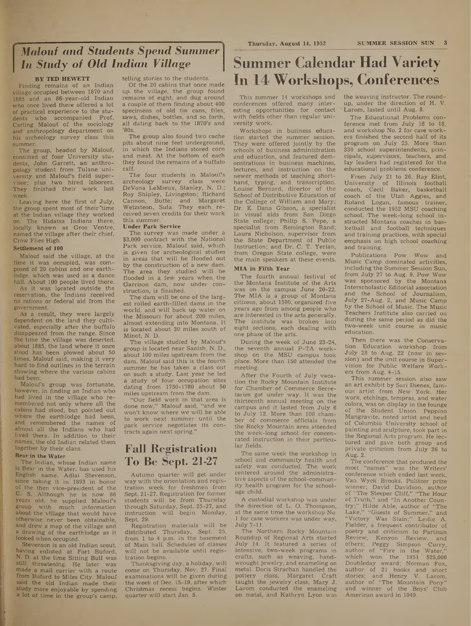# *Malouf and Students Spend Summer In Study of Old Indian Village*

#### **BY TED HEWETT**

Finding remains of an Indian village occupied between 1870 and 1885 and an 86-year-old Indian who once lived there offered a lot of practical experience to the students who accompanied Prof. Carling Malouf of the sociology and anthropology department on his archeology survey class this summer.

The group, headed by Malouf, consisted of four University students, John Garrett, an anthropology student from Tulane university and Malouf's field supervisor; plus two hired laborers. They finished their work last week.

Leaving here the first of July, the group spent most of their'time at the Indian village they worked on. The Hidatsa Indians there, locally known as Gros Ventre, named the village after their chief, Crow Flies High.

#### **Settlement of 100**

Malouf said the village, at the time it was occupied, was composed of 20 cabins and one earthlodge, which was used as a dance hall. About 100 people lived there.

As it was located outside the reservation, the Indians received no rations or federal aid from the government.

As a result, they were largely dependent on the land they cultivated, especially after the buffalo disappeared from the range. Since the time the village was deserted, about 1885, the land where it once stood has been plowed about 50 times, Malouf said, making it very hard to find outlines in the terrain showing where the various cabins had been.

Malouf's group was fortunate, however, in finding an Indian who had lived in the village who remembered not only where all the cabins had stood, but pointed out where the earthlodge had been, and remembered the names of almost all the Indians who had lived there. In addition to their names, the old Indian related them together by their clans.

#### **Bear in the Water**

The Indian, whose Indian name is Bear in the Water, has used his English name, Adlai Stevenson, since taking it in 1893 in honor of the then vice-president of the U. S. Although he is now 86 years old, he supplied Malouf's group with much information about the village that would have otherwise never been obtainable, and drew a map of the village and a drawing of the earthlodge as it looked when occupied.

Stevenson is an old Indian scout, having enlisted at Fort Buford, N. D. at the time Sitting Bull was still threatening. He later was made a mail carrier with a route from Buford to Miles City. Malouf said the old Indian made their study more enjoyable by spending a lot of time in the group's camp,

telling stories to the students.

Of the 20 cabins that once made' up the village, the group found remains of eight, and dug around a couple of them finding about 400 specimens of old tin cans, files, saws, dishes, bottles, and so forth, all dating back to the 1870's and '80s.

The group also found two cache' pits about nine feet underground, in which the Indians stored corn and meat. At the bottom of each they found the remains of a buffalo calf.

The four students in Malouf's archeology survey class were DeVona LeMieux, Stanley, N. D.; Roy Shipley, Livingston; Richard Cannon, Butte; and Margaret Wetzsteon, Sula. They each, received seven credits for their work this summer.

#### **Under Park Service**

The survey was made under a \$3,000 contract with the National Park service, Malouf said, which is given for archeological studies in areas that will be flooded out by the construction of a new dam. The area they studied will be flooded in a few years when the Garrison dam, now under construction, is finished.

The dam will be one of the largest rolled earth-filled dams in the world, and will back up water on the Missouri for about 200 miles, almost extending into Montana. It is located about 30 miles south of Minot, N. D.

The village studied by Malouf's group is located near Sanish, N. D., about 100 miles upstream from the dam. Malouf said this is the fourth summer he has taken a class out on such a study. Last year he led a study of four occupation sites dating from 1750-1780 about 50 miles upstream from the dam.

"Our field work in that area is done now," Malouf said, "and we won't know where we will be able to work next summer until the park service negotiates its contracts again next spring."

## **Fall Registration To Be Sept. 21-27**

Autumn quarter will get under way with the orientation and registration week for freshmen from Sept. 21-27. Registration for former students will be from Thursday through Saturday, Sept. 25-27, and instruction will begin Monday, Sept. 29.

Registration materials will be distributed Thursday, Sept. 25, from  $1$  to  $4$  p.m. in the basement of Main hall. Schedules of classes will not be available until registration begins.

Thanksgiving day, a holiday, will come on Thursday, Nov. 27. Final examinations will be given during the week of Dec. 15-19, after which Christmas recess begins. Winter quarter will start Jan. 5.

# **Summer Calendar Had Variety In 14 Workshops, Conferences**

This summer 14 workshops and conferences offered many interesting opportunities for contact with fields other than regular university work.

Workshops in business education started the summer session. They were offered jointly by the schools of business administration and education, and featured demonstrations in business machines, lectures, and instruction on the newer methods of teaching shorthand, typing, and transcription. Louise Bernard, director of the School of Distributive Education of the College of William and Mary; Dr. E. Dana Gibson, a specialist in visual aids from San Diego State college; Philip S. Pepe, a specialist from Remington Rand; Laura Nicholson, supervisor from the State Department of Public Instruction; and Dr. C. T. Yerian, from Oregon State college, were the main speakers at these events.

#### **MIA in Fifth Year**

The fourth annual festival of the Montana Institute of the Arts was on the campus June 20-22. The MIA is a group of Montana citizens, about 1500, organized-five years ago from among people who are interested in the arts generally. The institute was broken into eight sections, each dealing with one phase of the arts.

During the week of June 23-24, the seventh annual P-TA workshop on the MSU campus took place. More than 150 attended the meeting.

After the Fourth of July vacation the Rocky Mountain Institute for Chamber of Commerce Secretaries got under way. It was the thirteenth annual meeting on the campus and it lasted from July <sup>6</sup> to July 12. More than 100 chamber of commerce officials from the Rocky Mountain area attended the week-long school-for concenrated instruction in their particular fields.

The same week the workshop in school and community health and safety was conducted. The work centered around the administrative aspects of the school-community health program for the schoolage child.

A custodial workshop was under the direction of L. O. Thompson, at the same time the workshop No. <sup>1</sup> for case workers was under way, July 7-11.

The Northern Rocky Mountain Roundup of Regional Arts started July 14. It featured a series of intensive, two-week programs in crafts, such as weaving, handwrought jewelry, and enameling on metal. Doris Strachan handled the pottery class, Margaret Craft taught the jewelry class, Mary J. Larom conducted the enameling on metal, and Kathryn Lyon was the weaving instructor. The roundup, under the direction of H. V. Larom, lasted until Aug. 8.

The Educational Problems conference met from July 16 to 18, and workshop No. 2 for case workers finished the second half of its program on July 25. More than 330 school superintendents, principals, supervisors, teachers, and lay leaders had registered for the educational problems conference.

From July 21 to 26, Ray Eliot, University of Illinois football coach, Cecil Baker, basketball coach of the Utah Aggies, and Roland Logan, famous trainer, conducted the 1952 MSU coaching school. The week-long school instructed Montana coaches in basketball and football techniques and training practices, with special emphasis on high school coaching and training.

Publications Pow Wow and Music Camp dominated activities, including the Summer Session Sun, from July 27 to Aug. 9. Pow Wow was sponsored by the Montana Interscholastic Editorial association and the School of Journalism, July 27-Aug. 2, and Music Camp by the School of Music. The Music Teachers Institute also carried on during the same period as did the two-week unit course in music education.

Then there was the Conservation Education workshop from July 28 to Aug. 22 (now in session) and the unit course in Supervision for Public Welfare Workers from Aug. 4-15.

This summer session also saw an art exhibit by Sari Dienes, famous artist from New York. Her work, etchings, tempras, and water colors, was on display in the lounge of the Student Union. Peppino Mangravite, noted artist and head of Columbia University school of painting and sculpture, took part in the Regional Arts program. He lectured and gave both group and private criticism from July 26 to Aug. 2.

The conference that produced the most "names" was the Writers' conference which ended last week. Van Wyck Brooks, Pulitzer prize winner; David Davidson, author "The Steeper Cliff," "The Hour of Truth," and "In Another Country;" Hilde Able, author of "The Lake," "Guests of Summer," and "Victory Was Slain;" Leslie A. Fielder, a frequent contributor of poetry and criticism to Partisan Review, Kenyon Review, and others; Peggy Simpson Curry, author of "Fire in the Water, which won the 1951 \$25,000 Doubleday award; Norman' Fox, author of 21 books and short stories; and Henry V. Larom, author of "The Mountain Pony and winner of the Boys' Club American award in 1949.